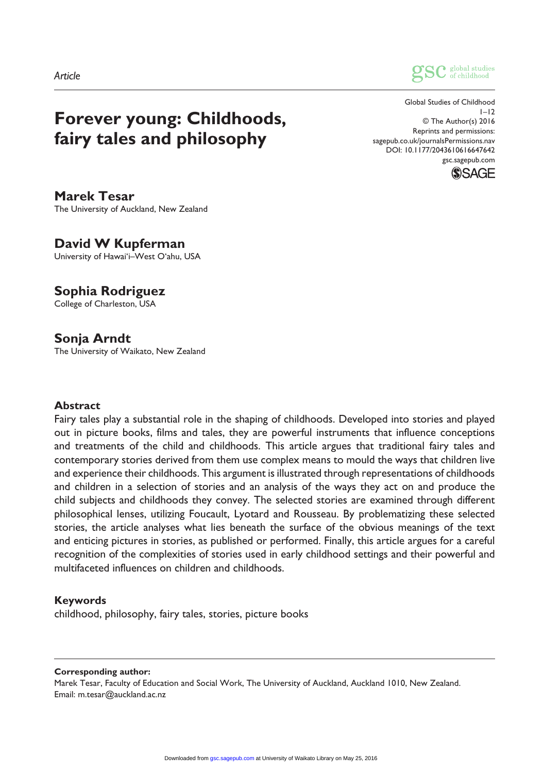

Global Studies of Childhood © The Author(s) 2016 Reprints and permissions: sagepub.co.uk/journalsPermissions.nav DOI: 10.1177/2043610616647642 gsc.sagepub.com



 $1 - 12$ 

# **Forever young: Childhoods, fairy tales and philosophy**

**Marek Tesar** The University of Auckland, New Zealand

**David W Kupferman** University of Hawai'i–West O'ahu, USA

**Sophia Rodriguez** College of Charleston, USA

**Sonja Arndt**

The University of Waikato, New Zealand

### **Abstract**

Fairy tales play a substantial role in the shaping of childhoods. Developed into stories and played out in picture books, films and tales, they are powerful instruments that influence conceptions and treatments of the child and childhoods. This article argues that traditional fairy tales and contemporary stories derived from them use complex means to mould the ways that children live and experience their childhoods. This argument is illustrated through representations of childhoods and children in a selection of stories and an analysis of the ways they act on and produce the child subjects and childhoods they convey. The selected stories are examined through different philosophical lenses, utilizing Foucault, Lyotard and Rousseau. By problematizing these selected stories, the article analyses what lies beneath the surface of the obvious meanings of the text and enticing pictures in stories, as published or performed. Finally, this article argues for a careful recognition of the complexities of stories used in early childhood settings and their powerful and multifaceted influences on children and childhoods.

## **Keywords**

childhood, philosophy, fairy tales, stories, picture books

#### **Corresponding author:**

Marek Tesar, Faculty of Education and Social Work, The University of Auckland, Auckland 1010, New Zealand. Email: [m.tesar@auckland.ac.nz](mailto:m.tesar@auckland.ac.nz)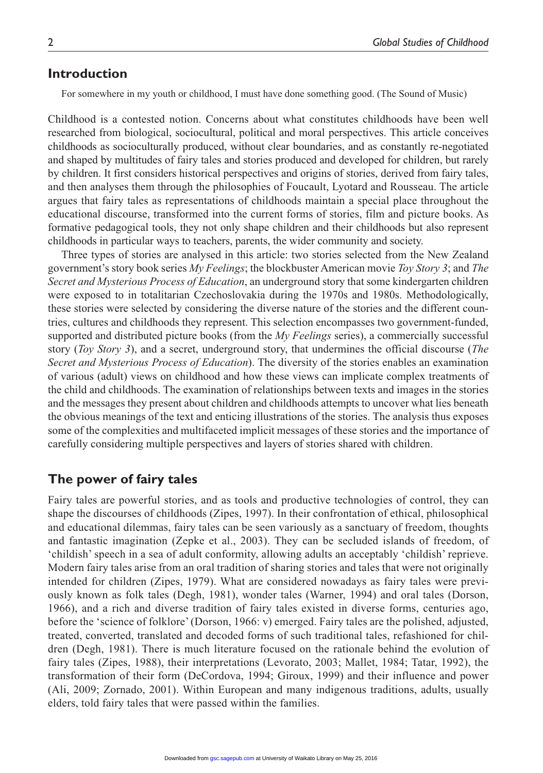# **Introduction**

For somewhere in my youth or childhood, I must have done something good. (The Sound of Music)

Childhood is a contested notion. Concerns about what constitutes childhoods have been well researched from biological, sociocultural, political and moral perspectives. This article conceives childhoods as socioculturally produced, without clear boundaries, and as constantly re-negotiated and shaped by multitudes of fairy tales and stories produced and developed for children, but rarely by children. It first considers historical perspectives and origins of stories, derived from fairy tales, and then analyses them through the philosophies of Foucault, Lyotard and Rousseau. The article argues that fairy tales as representations of childhoods maintain a special place throughout the educational discourse, transformed into the current forms of stories, film and picture books. As formative pedagogical tools, they not only shape children and their childhoods but also represent childhoods in particular ways to teachers, parents, the wider community and society.

Three types of stories are analysed in this article: two stories selected from the New Zealand government's story book series *My Feelings*; the blockbuster American movie *Toy Story 3*; and *The Secret and Mysterious Process of Education*, an underground story that some kindergarten children were exposed to in totalitarian Czechoslovakia during the 1970s and 1980s. Methodologically, these stories were selected by considering the diverse nature of the stories and the different countries, cultures and childhoods they represent. This selection encompasses two government-funded, supported and distributed picture books (from the *My Feelings* series), a commercially successful story (*Toy Story 3*), and a secret, underground story, that undermines the official discourse (*The Secret and Mysterious Process of Education*). The diversity of the stories enables an examination of various (adult) views on childhood and how these views can implicate complex treatments of the child and childhoods. The examination of relationships between texts and images in the stories and the messages they present about children and childhoods attempts to uncover what lies beneath the obvious meanings of the text and enticing illustrations of the stories. The analysis thus exposes some of the complexities and multifaceted implicit messages of these stories and the importance of carefully considering multiple perspectives and layers of stories shared with children.

# **The power of fairy tales**

Fairy tales are powerful stories, and as tools and productive technologies of control, they can shape the discourses of childhoods (Zipes, 1997). In their confrontation of ethical, philosophical and educational dilemmas, fairy tales can be seen variously as a sanctuary of freedom, thoughts and fantastic imagination (Zepke et al., 2003). They can be secluded islands of freedom, of 'childish' speech in a sea of adult conformity, allowing adults an acceptably 'childish' reprieve. Modern fairy tales arise from an oral tradition of sharing stories and tales that were not originally intended for children (Zipes, 1979). What are considered nowadays as fairy tales were previously known as folk tales (Degh, 1981), wonder tales (Warner, 1994) and oral tales (Dorson, 1966), and a rich and diverse tradition of fairy tales existed in diverse forms, centuries ago, before the 'science of folklore' (Dorson, 1966: v) emerged. Fairy tales are the polished, adjusted, treated, converted, translated and decoded forms of such traditional tales, refashioned for children (Degh, 1981). There is much literature focused on the rationale behind the evolution of fairy tales (Zipes, 1988), their interpretations (Levorato, 2003; Mallet, 1984; Tatar, 1992), the transformation of their form (DeCordova, 1994; Giroux, 1999) and their influence and power (Ali, 2009; Zornado, 2001). Within European and many indigenous traditions, adults, usually elders, told fairy tales that were passed within the families.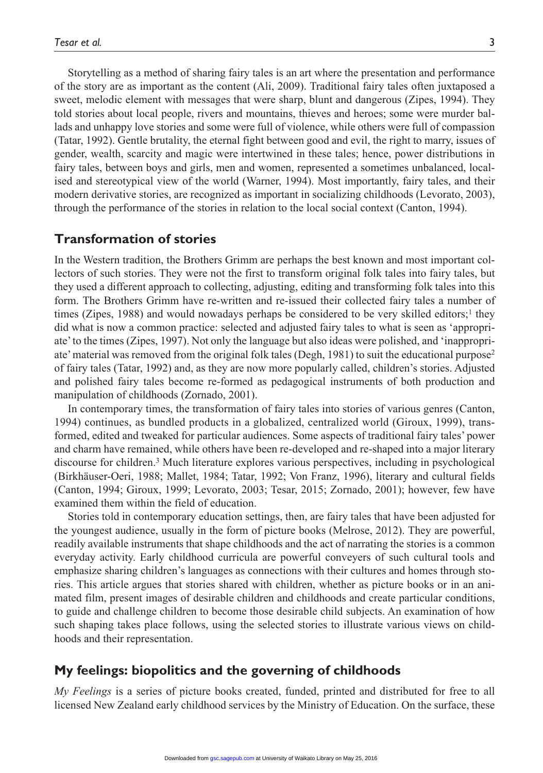Storytelling as a method of sharing fairy tales is an art where the presentation and performance of the story are as important as the content (Ali, 2009). Traditional fairy tales often juxtaposed a sweet, melodic element with messages that were sharp, blunt and dangerous (Zipes, 1994). They told stories about local people, rivers and mountains, thieves and heroes; some were murder ballads and unhappy love stories and some were full of violence, while others were full of compassion (Tatar, 1992). Gentle brutality, the eternal fight between good and evil, the right to marry, issues of gender, wealth, scarcity and magic were intertwined in these tales; hence, power distributions in fairy tales, between boys and girls, men and women, represented a sometimes unbalanced, localised and stereotypical view of the world (Warner, 1994). Most importantly, fairy tales, and their modern derivative stories, are recognized as important in socializing childhoods (Levorato, 2003), through the performance of the stories in relation to the local social context (Canton, 1994).

## **Transformation of stories**

In the Western tradition, the Brothers Grimm are perhaps the best known and most important collectors of such stories. They were not the first to transform original folk tales into fairy tales, but they used a different approach to collecting, adjusting, editing and transforming folk tales into this form. The Brothers Grimm have re-written and re-issued their collected fairy tales a number of times (Zipes, 1988) and would nowadays perhaps be considered to be very skilled editors;<sup>1</sup> they did what is now a common practice: selected and adjusted fairy tales to what is seen as 'appropriate' to the times (Zipes, 1997). Not only the language but also ideas were polished, and 'inappropriate' material was removed from the original folk tales (Degh, 1981) to suit the educational purpose<sup>2</sup> of fairy tales (Tatar, 1992) and, as they are now more popularly called, children's stories. Adjusted and polished fairy tales become re-formed as pedagogical instruments of both production and manipulation of childhoods (Zornado, 2001).

In contemporary times, the transformation of fairy tales into stories of various genres (Canton, 1994) continues, as bundled products in a globalized, centralized world (Giroux, 1999), transformed, edited and tweaked for particular audiences. Some aspects of traditional fairy tales' power and charm have remained, while others have been re-developed and re-shaped into a major literary discourse for children.3 Much literature explores various perspectives, including in psychological (Birkhäuser-Oeri, 1988; Mallet, 1984; Tatar, 1992; Von Franz, 1996), literary and cultural fields (Canton, 1994; Giroux, 1999; Levorato, 2003; Tesar, 2015; Zornado, 2001); however, few have examined them within the field of education.

Stories told in contemporary education settings, then, are fairy tales that have been adjusted for the youngest audience, usually in the form of picture books (Melrose, 2012). They are powerful, readily available instruments that shape childhoods and the act of narrating the stories is a common everyday activity. Early childhood curricula are powerful conveyers of such cultural tools and emphasize sharing children's languages as connections with their cultures and homes through stories. This article argues that stories shared with children, whether as picture books or in an animated film, present images of desirable children and childhoods and create particular conditions, to guide and challenge children to become those desirable child subjects. An examination of how such shaping takes place follows, using the selected stories to illustrate various views on childhoods and their representation.

## **My feelings: biopolitics and the governing of childhoods**

*My Feelings* is a series of picture books created, funded, printed and distributed for free to all licensed New Zealand early childhood services by the Ministry of Education. On the surface, these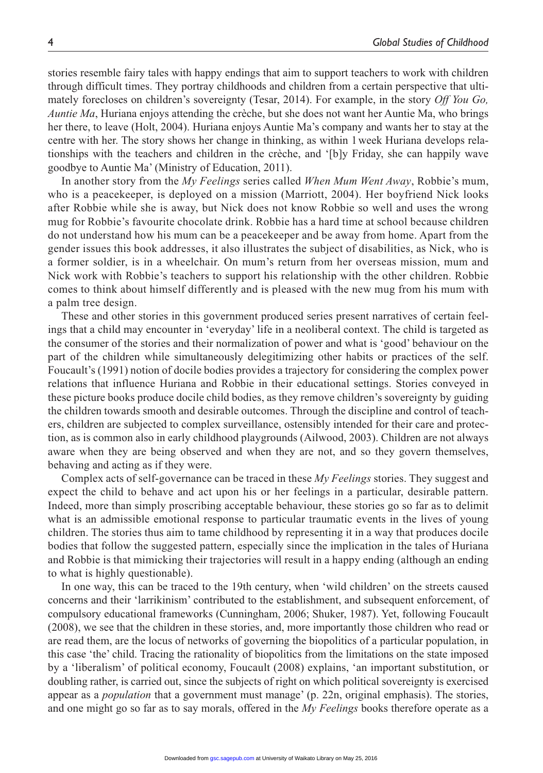stories resemble fairy tales with happy endings that aim to support teachers to work with children through difficult times. They portray childhoods and children from a certain perspective that ultimately forecloses on children's sovereignty (Tesar, 2014). For example, in the story *Off You Go, Auntie Ma*, Huriana enjoys attending the crèche, but she does not want her Auntie Ma, who brings her there, to leave (Holt, 2004). Huriana enjoys Auntie Ma's company and wants her to stay at the centre with her. The story shows her change in thinking, as within 1week Huriana develops relationships with the teachers and children in the crèche, and '[b]y Friday, she can happily wave goodbye to Auntie Ma' (Ministry of Education, 2011).

In another story from the *My Feelings* series called *When Mum Went Away*, Robbie's mum, who is a peacekeeper, is deployed on a mission (Marriott, 2004). Her boyfriend Nick looks after Robbie while she is away, but Nick does not know Robbie so well and uses the wrong mug for Robbie's favourite chocolate drink. Robbie has a hard time at school because children do not understand how his mum can be a peacekeeper and be away from home. Apart from the gender issues this book addresses, it also illustrates the subject of disabilities, as Nick, who is a former soldier, is in a wheelchair. On mum's return from her overseas mission, mum and Nick work with Robbie's teachers to support his relationship with the other children. Robbie comes to think about himself differently and is pleased with the new mug from his mum with a palm tree design.

These and other stories in this government produced series present narratives of certain feelings that a child may encounter in 'everyday' life in a neoliberal context. The child is targeted as the consumer of the stories and their normalization of power and what is 'good' behaviour on the part of the children while simultaneously delegitimizing other habits or practices of the self. Foucault's (1991) notion of docile bodies provides a trajectory for considering the complex power relations that influence Huriana and Robbie in their educational settings. Stories conveyed in these picture books produce docile child bodies, as they remove children's sovereignty by guiding the children towards smooth and desirable outcomes. Through the discipline and control of teachers, children are subjected to complex surveillance, ostensibly intended for their care and protection, as is common also in early childhood playgrounds (Ailwood, 2003). Children are not always aware when they are being observed and when they are not, and so they govern themselves, behaving and acting as if they were.

Complex acts of self-governance can be traced in these *My Feelings* stories. They suggest and expect the child to behave and act upon his or her feelings in a particular, desirable pattern. Indeed, more than simply proscribing acceptable behaviour, these stories go so far as to delimit what is an admissible emotional response to particular traumatic events in the lives of young children. The stories thus aim to tame childhood by representing it in a way that produces docile bodies that follow the suggested pattern, especially since the implication in the tales of Huriana and Robbie is that mimicking their trajectories will result in a happy ending (although an ending to what is highly questionable).

In one way, this can be traced to the 19th century, when 'wild children' on the streets caused concerns and their 'larrikinism' contributed to the establishment, and subsequent enforcement, of compulsory educational frameworks (Cunningham, 2006; Shuker, 1987). Yet, following Foucault (2008), we see that the children in these stories, and, more importantly those children who read or are read them, are the locus of networks of governing the biopolitics of a particular population, in this case 'the' child. Tracing the rationality of biopolitics from the limitations on the state imposed by a 'liberalism' of political economy, Foucault (2008) explains, 'an important substitution, or doubling rather, is carried out, since the subjects of right on which political sovereignty is exercised appear as a *population* that a government must manage' (p. 22n, original emphasis). The stories, and one might go so far as to say morals, offered in the *My Feelings* books therefore operate as a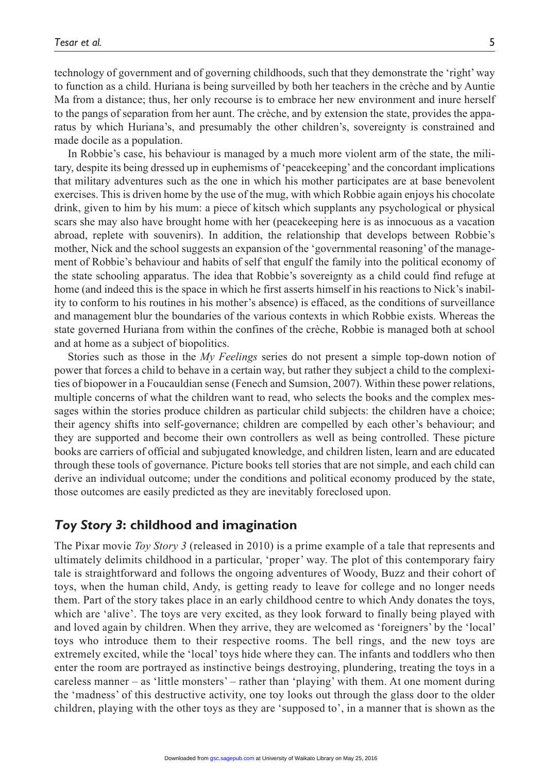technology of government and of governing childhoods, such that they demonstrate the 'right' way to function as a child. Huriana is being surveilled by both her teachers in the crèche and by Auntie Ma from a distance; thus, her only recourse is to embrace her new environment and inure herself to the pangs of separation from her aunt. The crèche, and by extension the state, provides the apparatus by which Huriana's, and presumably the other children's, sovereignty is constrained and made docile as a population.

In Robbie's case, his behaviour is managed by a much more violent arm of the state, the military, despite its being dressed up in euphemisms of 'peacekeeping' and the concordant implications that military adventures such as the one in which his mother participates are at base benevolent exercises. This is driven home by the use of the mug, with which Robbie again enjoys his chocolate drink, given to him by his mum: a piece of kitsch which supplants any psychological or physical scars she may also have brought home with her (peacekeeping here is as innocuous as a vacation abroad, replete with souvenirs). In addition, the relationship that develops between Robbie's mother, Nick and the school suggests an expansion of the 'governmental reasoning' of the management of Robbie's behaviour and habits of self that engulf the family into the political economy of the state schooling apparatus. The idea that Robbie's sovereignty as a child could find refuge at home (and indeed this is the space in which he first asserts himself in his reactions to Nick's inability to conform to his routines in his mother's absence) is effaced, as the conditions of surveillance and management blur the boundaries of the various contexts in which Robbie exists. Whereas the state governed Huriana from within the confines of the crèche, Robbie is managed both at school and at home as a subject of biopolitics.

Stories such as those in the *My Feelings* series do not present a simple top-down notion of power that forces a child to behave in a certain way, but rather they subject a child to the complexities of biopower in a Foucauldian sense (Fenech and Sumsion, 2007). Within these power relations, multiple concerns of what the children want to read, who selects the books and the complex messages within the stories produce children as particular child subjects: the children have a choice; their agency shifts into self-governance; children are compelled by each other's behaviour; and they are supported and become their own controllers as well as being controlled. These picture books are carriers of official and subjugated knowledge, and children listen, learn and are educated through these tools of governance. Picture books tell stories that are not simple, and each child can derive an individual outcome; under the conditions and political economy produced by the state, those outcomes are easily predicted as they are inevitably foreclosed upon.

# *Toy Story 3***: childhood and imagination**

The Pixar movie *Toy Story 3* (released in 2010) is a prime example of a tale that represents and ultimately delimits childhood in a particular, 'proper' way. The plot of this contemporary fairy tale is straightforward and follows the ongoing adventures of Woody, Buzz and their cohort of toys, when the human child, Andy, is getting ready to leave for college and no longer needs them. Part of the story takes place in an early childhood centre to which Andy donates the toys, which are 'alive'. The toys are very excited, as they look forward to finally being played with and loved again by children. When they arrive, they are welcomed as 'foreigners' by the 'local' toys who introduce them to their respective rooms. The bell rings, and the new toys are extremely excited, while the 'local' toys hide where they can. The infants and toddlers who then enter the room are portrayed as instinctive beings destroying, plundering, treating the toys in a careless manner – as 'little monsters' – rather than 'playing' with them. At one moment during the 'madness' of this destructive activity, one toy looks out through the glass door to the older children, playing with the other toys as they are 'supposed to', in a manner that is shown as the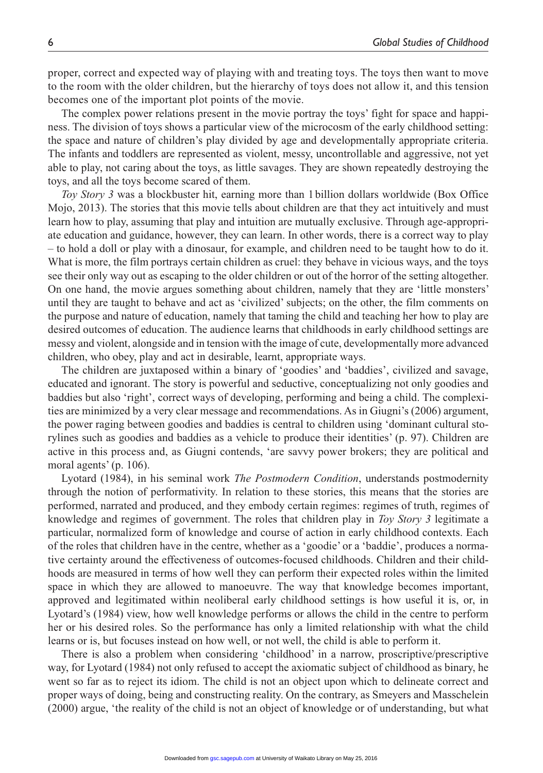proper, correct and expected way of playing with and treating toys. The toys then want to move to the room with the older children, but the hierarchy of toys does not allow it, and this tension becomes one of the important plot points of the movie.

The complex power relations present in the movie portray the toys' fight for space and happiness. The division of toys shows a particular view of the microcosm of the early childhood setting: the space and nature of children's play divided by age and developmentally appropriate criteria. The infants and toddlers are represented as violent, messy, uncontrollable and aggressive, not yet able to play, not caring about the toys, as little savages. They are shown repeatedly destroying the toys, and all the toys become scared of them.

*Toy Story 3* was a blockbuster hit, earning more than 1billion dollars worldwide (Box Office Mojo, 2013). The stories that this movie tells about children are that they act intuitively and must learn how to play, assuming that play and intuition are mutually exclusive. Through age-appropriate education and guidance, however, they can learn. In other words, there is a correct way to play – to hold a doll or play with a dinosaur, for example, and children need to be taught how to do it. What is more, the film portrays certain children as cruel: they behave in vicious ways, and the toys see their only way out as escaping to the older children or out of the horror of the setting altogether. On one hand, the movie argues something about children, namely that they are 'little monsters' until they are taught to behave and act as 'civilized' subjects; on the other, the film comments on the purpose and nature of education, namely that taming the child and teaching her how to play are desired outcomes of education. The audience learns that childhoods in early childhood settings are messy and violent, alongside and in tension with the image of cute, developmentally more advanced children, who obey, play and act in desirable, learnt, appropriate ways.

The children are juxtaposed within a binary of 'goodies' and 'baddies', civilized and savage, educated and ignorant. The story is powerful and seductive, conceptualizing not only goodies and baddies but also 'right', correct ways of developing, performing and being a child. The complexities are minimized by a very clear message and recommendations. As in Giugni's (2006) argument, the power raging between goodies and baddies is central to children using 'dominant cultural storylines such as goodies and baddies as a vehicle to produce their identities' (p. 97). Children are active in this process and, as Giugni contends, 'are savvy power brokers; they are political and moral agents' (p. 106).

Lyotard (1984), in his seminal work *The Postmodern Condition*, understands postmodernity through the notion of performativity. In relation to these stories, this means that the stories are performed, narrated and produced, and they embody certain regimes: regimes of truth, regimes of knowledge and regimes of government. The roles that children play in *Toy Story 3* legitimate a particular, normalized form of knowledge and course of action in early childhood contexts. Each of the roles that children have in the centre, whether as a 'goodie' or a 'baddie', produces a normative certainty around the effectiveness of outcomes-focused childhoods. Children and their childhoods are measured in terms of how well they can perform their expected roles within the limited space in which they are allowed to manoeuvre. The way that knowledge becomes important, approved and legitimated within neoliberal early childhood settings is how useful it is, or, in Lyotard's (1984) view, how well knowledge performs or allows the child in the centre to perform her or his desired roles. So the performance has only a limited relationship with what the child learns or is, but focuses instead on how well, or not well, the child is able to perform it.

There is also a problem when considering 'childhood' in a narrow, proscriptive/prescriptive way, for Lyotard (1984) not only refused to accept the axiomatic subject of childhood as binary, he went so far as to reject its idiom. The child is not an object upon which to delineate correct and proper ways of doing, being and constructing reality. On the contrary, as Smeyers and Masschelein (2000) argue, 'the reality of the child is not an object of knowledge or of understanding, but what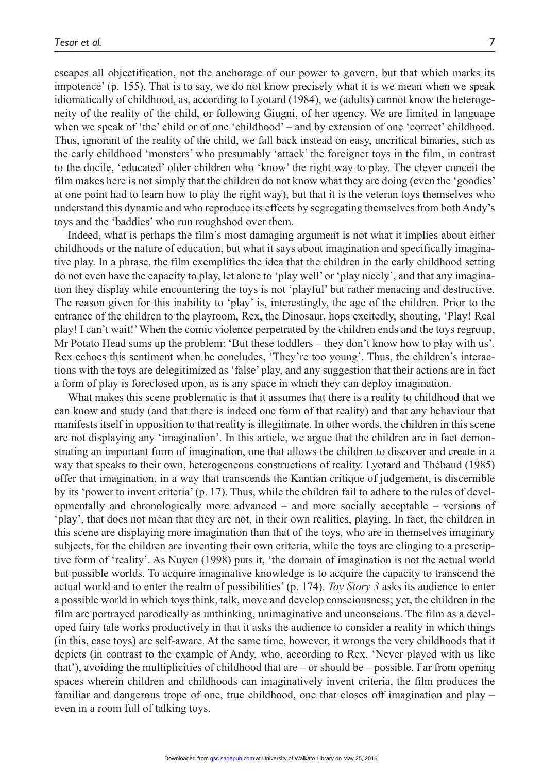escapes all objectification, not the anchorage of our power to govern, but that which marks its impotence' (p. 155). That is to say, we do not know precisely what it is we mean when we speak idiomatically of childhood, as, according to Lyotard (1984), we (adults) cannot know the heterogeneity of the reality of the child, or following Giugni, of her agency. We are limited in language when we speak of 'the' child or of one 'childhood' – and by extension of one 'correct' childhood. Thus, ignorant of the reality of the child, we fall back instead on easy, uncritical binaries, such as the early childhood 'monsters' who presumably 'attack' the foreigner toys in the film, in contrast to the docile, 'educated' older children who 'know' the right way to play. The clever conceit the film makes here is not simply that the children do not know what they are doing (even the 'goodies' at one point had to learn how to play the right way), but that it is the veteran toys themselves who understand this dynamic and who reproduce its effects by segregating themselves from both Andy's toys and the 'baddies' who run roughshod over them.

Indeed, what is perhaps the film's most damaging argument is not what it implies about either childhoods or the nature of education, but what it says about imagination and specifically imaginative play. In a phrase, the film exemplifies the idea that the children in the early childhood setting do not even have the capacity to play, let alone to 'play well' or 'play nicely', and that any imagination they display while encountering the toys is not 'playful' but rather menacing and destructive. The reason given for this inability to 'play' is, interestingly, the age of the children. Prior to the entrance of the children to the playroom, Rex, the Dinosaur, hops excitedly, shouting, 'Play! Real play! I can't wait!' When the comic violence perpetrated by the children ends and the toys regroup, Mr Potato Head sums up the problem: 'But these toddlers – they don't know how to play with us'. Rex echoes this sentiment when he concludes, 'They're too young'. Thus, the children's interactions with the toys are delegitimized as 'false' play, and any suggestion that their actions are in fact a form of play is foreclosed upon, as is any space in which they can deploy imagination.

What makes this scene problematic is that it assumes that there is a reality to childhood that we can know and study (and that there is indeed one form of that reality) and that any behaviour that manifests itself in opposition to that reality is illegitimate. In other words, the children in this scene are not displaying any 'imagination'. In this article, we argue that the children are in fact demonstrating an important form of imagination, one that allows the children to discover and create in a way that speaks to their own, heterogeneous constructions of reality. Lyotard and Thébaud (1985) offer that imagination, in a way that transcends the Kantian critique of judgement, is discernible by its 'power to invent criteria' (p. 17). Thus, while the children fail to adhere to the rules of developmentally and chronologically more advanced – and more socially acceptable – versions of 'play', that does not mean that they are not, in their own realities, playing. In fact, the children in this scene are displaying more imagination than that of the toys, who are in themselves imaginary subjects, for the children are inventing their own criteria, while the toys are clinging to a prescriptive form of 'reality'. As Nuyen (1998) puts it, 'the domain of imagination is not the actual world but possible worlds. To acquire imaginative knowledge is to acquire the capacity to transcend the actual world and to enter the realm of possibilities' (p. 174). *Toy Story 3* asks its audience to enter a possible world in which toys think, talk, move and develop consciousness; yet, the children in the film are portrayed parodically as unthinking, unimaginative and unconscious. The film as a developed fairy tale works productively in that it asks the audience to consider a reality in which things (in this, case toys) are self-aware. At the same time, however, it wrongs the very childhoods that it depicts (in contrast to the example of Andy, who, according to Rex, 'Never played with us like that'), avoiding the multiplicities of childhood that are – or should be – possible. Far from opening spaces wherein children and childhoods can imaginatively invent criteria, the film produces the familiar and dangerous trope of one, true childhood, one that closes off imagination and play – even in a room full of talking toys.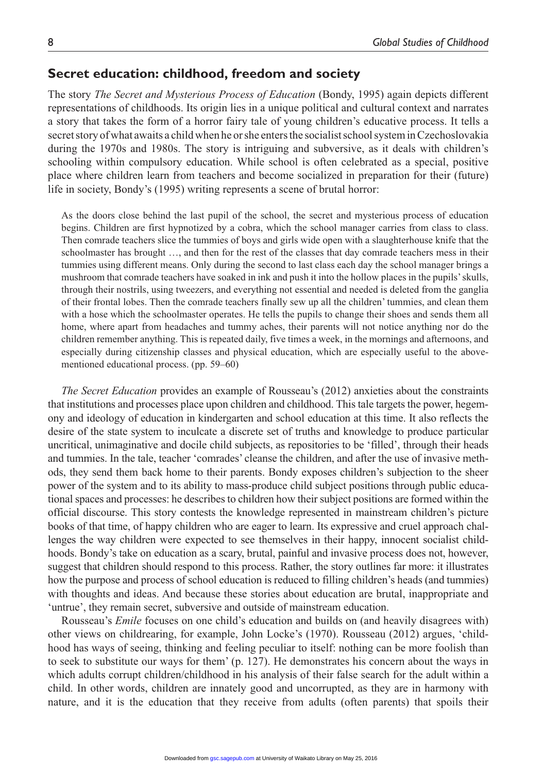## **Secret education: childhood, freedom and society**

The story *The Secret and Mysterious Process of Education* (Bondy, 1995) again depicts different representations of childhoods. Its origin lies in a unique political and cultural context and narrates a story that takes the form of a horror fairy tale of young children's educative process. It tells a secret story of what awaits a child when he or she enters the socialist school system in Czechoslovakia during the 1970s and 1980s. The story is intriguing and subversive, as it deals with children's schooling within compulsory education. While school is often celebrated as a special, positive place where children learn from teachers and become socialized in preparation for their (future) life in society, Bondy's (1995) writing represents a scene of brutal horror:

As the doors close behind the last pupil of the school, the secret and mysterious process of education begins. Children are first hypnotized by a cobra, which the school manager carries from class to class. Then comrade teachers slice the tummies of boys and girls wide open with a slaughterhouse knife that the schoolmaster has brought …, and then for the rest of the classes that day comrade teachers mess in their tummies using different means. Only during the second to last class each day the school manager brings a mushroom that comrade teachers have soaked in ink and push it into the hollow places in the pupils' skulls, through their nostrils, using tweezers, and everything not essential and needed is deleted from the ganglia of their frontal lobes. Then the comrade teachers finally sew up all the children' tummies, and clean them with a hose which the schoolmaster operates. He tells the pupils to change their shoes and sends them all home, where apart from headaches and tummy aches, their parents will not notice anything nor do the children remember anything. This is repeated daily, five times a week, in the mornings and afternoons, and especially during citizenship classes and physical education, which are especially useful to the abovementioned educational process. (pp. 59–60)

*The Secret Education* provides an example of Rousseau's (2012) anxieties about the constraints that institutions and processes place upon children and childhood. This tale targets the power, hegemony and ideology of education in kindergarten and school education at this time. It also reflects the desire of the state system to inculcate a discrete set of truths and knowledge to produce particular uncritical, unimaginative and docile child subjects, as repositories to be 'filled', through their heads and tummies. In the tale, teacher 'comrades' cleanse the children, and after the use of invasive methods, they send them back home to their parents. Bondy exposes children's subjection to the sheer power of the system and to its ability to mass-produce child subject positions through public educational spaces and processes: he describes to children how their subject positions are formed within the official discourse. This story contests the knowledge represented in mainstream children's picture books of that time, of happy children who are eager to learn. Its expressive and cruel approach challenges the way children were expected to see themselves in their happy, innocent socialist childhoods. Bondy's take on education as a scary, brutal, painful and invasive process does not, however, suggest that children should respond to this process. Rather, the story outlines far more: it illustrates how the purpose and process of school education is reduced to filling children's heads (and tummies) with thoughts and ideas. And because these stories about education are brutal, inappropriate and 'untrue', they remain secret, subversive and outside of mainstream education.

Rousseau's *Emile* focuses on one child's education and builds on (and heavily disagrees with) other views on childrearing, for example, John Locke's (1970). Rousseau (2012) argues, 'childhood has ways of seeing, thinking and feeling peculiar to itself: nothing can be more foolish than to seek to substitute our ways for them' (p. 127). He demonstrates his concern about the ways in which adults corrupt children/childhood in his analysis of their false search for the adult within a child. In other words, children are innately good and uncorrupted, as they are in harmony with nature, and it is the education that they receive from adults (often parents) that spoils their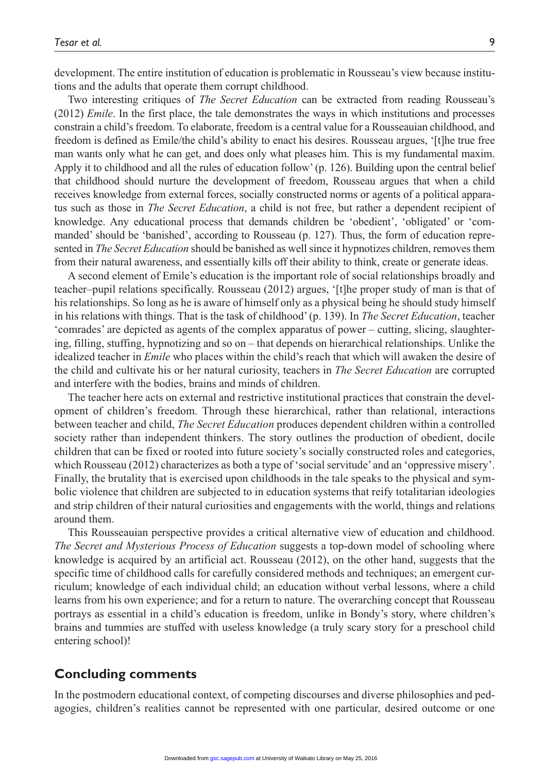development. The entire institution of education is problematic in Rousseau's view because institutions and the adults that operate them corrupt childhood.

Two interesting critiques of *The Secret Education* can be extracted from reading Rousseau's (2012) *Emile*. In the first place, the tale demonstrates the ways in which institutions and processes constrain a child's freedom. To elaborate, freedom is a central value for a Rousseauian childhood, and freedom is defined as Emile/the child's ability to enact his desires. Rousseau argues, '[t]he true free man wants only what he can get, and does only what pleases him. This is my fundamental maxim. Apply it to childhood and all the rules of education follow' (p. 126). Building upon the central belief that childhood should nurture the development of freedom, Rousseau argues that when a child receives knowledge from external forces, socially constructed norms or agents of a political apparatus such as those in *The Secret Education*, a child is not free, but rather a dependent recipient of knowledge. Any educational process that demands children be 'obedient', 'obligated' or 'commanded' should be 'banished', according to Rousseau (p. 127). Thus, the form of education represented in *The Secret Education* should be banished as well since it hypnotizes children, removes them from their natural awareness, and essentially kills off their ability to think, create or generate ideas.

A second element of Emile's education is the important role of social relationships broadly and teacher–pupil relations specifically. Rousseau (2012) argues, '[t]he proper study of man is that of his relationships. So long as he is aware of himself only as a physical being he should study himself in his relations with things. That is the task of childhood' (p. 139). In *The Secret Education*, teacher 'comrades' are depicted as agents of the complex apparatus of power – cutting, slicing, slaughtering, filling, stuffing, hypnotizing and so on – that depends on hierarchical relationships. Unlike the idealized teacher in *Emile* who places within the child's reach that which will awaken the desire of the child and cultivate his or her natural curiosity, teachers in *The Secret Education* are corrupted and interfere with the bodies, brains and minds of children.

The teacher here acts on external and restrictive institutional practices that constrain the development of children's freedom. Through these hierarchical, rather than relational, interactions between teacher and child, *The Secret Education* produces dependent children within a controlled society rather than independent thinkers. The story outlines the production of obedient, docile children that can be fixed or rooted into future society's socially constructed roles and categories, which Rousseau (2012) characterizes as both a type of 'social servitude' and an 'oppressive misery'. Finally, the brutality that is exercised upon childhoods in the tale speaks to the physical and symbolic violence that children are subjected to in education systems that reify totalitarian ideologies and strip children of their natural curiosities and engagements with the world, things and relations around them.

This Rousseauian perspective provides a critical alternative view of education and childhood. *The Secret and Mysterious Process of Education* suggests a top-down model of schooling where knowledge is acquired by an artificial act. Rousseau (2012), on the other hand, suggests that the specific time of childhood calls for carefully considered methods and techniques; an emergent curriculum; knowledge of each individual child; an education without verbal lessons, where a child learns from his own experience; and for a return to nature. The overarching concept that Rousseau portrays as essential in a child's education is freedom, unlike in Bondy's story, where children's brains and tummies are stuffed with useless knowledge (a truly scary story for a preschool child entering school)!

## **Concluding comments**

In the postmodern educational context, of competing discourses and diverse philosophies and pedagogies, children's realities cannot be represented with one particular, desired outcome or one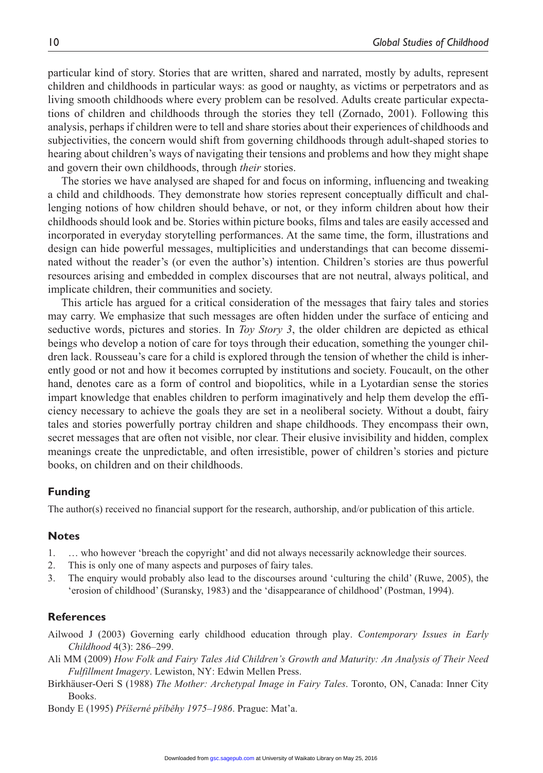particular kind of story. Stories that are written, shared and narrated, mostly by adults, represent children and childhoods in particular ways: as good or naughty, as victims or perpetrators and as living smooth childhoods where every problem can be resolved. Adults create particular expectations of children and childhoods through the stories they tell (Zornado, 2001). Following this analysis, perhaps if children were to tell and share stories about their experiences of childhoods and subjectivities, the concern would shift from governing childhoods through adult-shaped stories to hearing about children's ways of navigating their tensions and problems and how they might shape and govern their own childhoods, through *their* stories.

The stories we have analysed are shaped for and focus on informing, influencing and tweaking a child and childhoods. They demonstrate how stories represent conceptually difficult and challenging notions of how children should behave, or not, or they inform children about how their childhoods should look and be. Stories within picture books, films and tales are easily accessed and incorporated in everyday storytelling performances. At the same time, the form, illustrations and design can hide powerful messages, multiplicities and understandings that can become disseminated without the reader's (or even the author's) intention. Children's stories are thus powerful resources arising and embedded in complex discourses that are not neutral, always political, and implicate children, their communities and society.

This article has argued for a critical consideration of the messages that fairy tales and stories may carry. We emphasize that such messages are often hidden under the surface of enticing and seductive words, pictures and stories. In *Toy Story 3*, the older children are depicted as ethical beings who develop a notion of care for toys through their education, something the younger children lack. Rousseau's care for a child is explored through the tension of whether the child is inherently good or not and how it becomes corrupted by institutions and society. Foucault, on the other hand, denotes care as a form of control and biopolitics, while in a Lyotardian sense the stories impart knowledge that enables children to perform imaginatively and help them develop the efficiency necessary to achieve the goals they are set in a neoliberal society. Without a doubt, fairy tales and stories powerfully portray children and shape childhoods. They encompass their own, secret messages that are often not visible, nor clear. Their elusive invisibility and hidden, complex meanings create the unpredictable, and often irresistible, power of children's stories and picture books, on children and on their childhoods.

### **Funding**

The author(s) received no financial support for the research, authorship, and/or publication of this article.

#### **Notes**

- 1. … who however 'breach the copyright' and did not always necessarily acknowledge their sources.
- 2. This is only one of many aspects and purposes of fairy tales.
- 3. The enquiry would probably also lead to the discourses around 'culturing the child' (Ruwe, 2005), the 'erosion of childhood' (Suransky, 1983) and the 'disappearance of childhood' (Postman, 1994).

#### **References**

- Ailwood J (2003) Governing early childhood education through play. *Contemporary Issues in Early Childhood* 4(3): 286–299.
- Ali MM (2009) *How Folk and Fairy Tales Aid Children's Growth and Maturity: An Analysis of Their Need Fulfillment Imagery*. Lewiston, NY: Edwin Mellen Press.
- Birkhäuser-Oeri S (1988) *The Mother: Archetypal Image in Fairy Tales*. Toronto, ON, Canada: Inner City Books.

Bondy E (1995) *Příšerné příběhy 1975–1986*. Prague: Mat'a.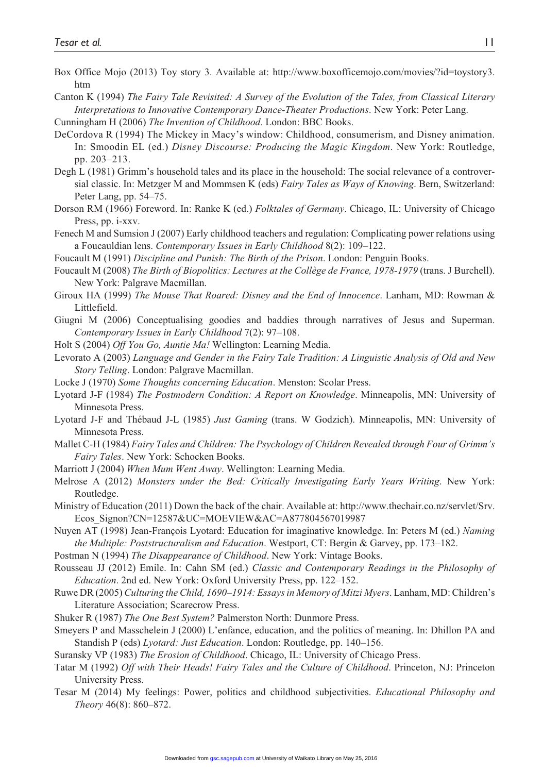- Box Office Mojo (2013) Toy story 3. Available at: [http://www.boxofficemojo.com/movies/?id=toystory3.](http://www.boxofficemojo.com/movies/?id=toystory3.htm) [htm](http://www.boxofficemojo.com/movies/?id=toystory3.htm)
- Canton K (1994) *The Fairy Tale Revisited: A Survey of the Evolution of the Tales, from Classical Literary Interpretations to Innovative Contemporary Dance-Theater Productions*. New York: Peter Lang. Cunningham H (2006) *The Invention of Childhood*. London: BBC Books.
- DeCordova R (1994) The Mickey in Macy's window: Childhood, consumerism, and Disney animation. In: Smoodin EL (ed.) *Disney Discourse: Producing the Magic Kingdom*. New York: Routledge, pp. 203–213.
- Degh L (1981) Grimm's household tales and its place in the household: The social relevance of a controversial classic. In: Metzger M and Mommsen K (eds) *Fairy Tales as Ways of Knowing*. Bern, Switzerland: Peter Lang, pp. 54–75.
- Dorson RM (1966) Foreword. In: Ranke K (ed.) *Folktales of Germany*. Chicago, IL: University of Chicago Press, pp. i-xxv.
- Fenech M and Sumsion J (2007) Early childhood teachers and regulation: Complicating power relations using a Foucauldian lens. *Contemporary Issues in Early Childhood* 8(2): 109–122.
- Foucault M (1991) *Discipline and Punish: The Birth of the Prison*. London: Penguin Books.
- Foucault M (2008) *The Birth of Biopolitics: Lectures at the Collège de France, 1978-1979* (trans. J Burchell). New York: Palgrave Macmillan.
- Giroux HA (1999) *The Mouse That Roared: Disney and the End of Innocence*. Lanham, MD: Rowman & Littlefield.
- Giugni M (2006) Conceptualising goodies and baddies through narratives of Jesus and Superman. *Contemporary Issues in Early Childhood* 7(2): 97–108.
- Holt S (2004) *Off You Go, Auntie Ma!* Wellington: Learning Media.
- Levorato A (2003) *Language and Gender in the Fairy Tale Tradition: A Linguistic Analysis of Old and New Story Telling*. London: Palgrave Macmillan.
- Locke J (1970) *Some Thoughts concerning Education*. Menston: Scolar Press.
- Lyotard J-F (1984) *The Postmodern Condition: A Report on Knowledge*. Minneapolis, MN: University of Minnesota Press.
- Lyotard J-F and Thébaud J-L (1985) *Just Gaming* (trans. W Godzich). Minneapolis, MN: University of Minnesota Press.
- Mallet C-H (1984) *Fairy Tales and Children: The Psychology of Children Revealed through Four of Grimm's Fairy Tales*. New York: Schocken Books.
- Marriott J (2004) *When Mum Went Away*. Wellington: Learning Media.
- Melrose A (2012) *Monsters under the Bed: Critically Investigating Early Years Writing*. New York: Routledge.
- Ministry of Education (2011) Down the back of the chair. Available at: [http://www.thechair.co.nz/servlet/Srv.](http://www.thechair.co.nz/servlet/Srv.Ecos_Signon?CN=12587&UC=MOEVIEW&AC=A877804567019987) [Ecos\\_Signon?CN=12587&UC=MOEVIEW&AC=A877804567019987](http://www.thechair.co.nz/servlet/Srv.Ecos_Signon?CN=12587&UC=MOEVIEW&AC=A877804567019987)
- Nuyen AT (1998) Jean-François Lyotard: Education for imaginative knowledge. In: Peters M (ed.) *Naming the Multiple: Poststructuralism and Education*. Westport, CT: Bergin & Garvey, pp. 173–182.
- Postman N (1994) *The Disappearance of Childhood*. New York: Vintage Books.
- Rousseau JJ (2012) Emile. In: Cahn SM (ed.) *Classic and Contemporary Readings in the Philosophy of Education*. 2nd ed. New York: Oxford University Press, pp. 122–152.
- Ruwe DR (2005) *Culturing the Child, 1690–1914: Essays in Memory of Mitzi Myers*. Lanham, MD: Children's Literature Association; Scarecrow Press.
- Shuker R (1987) *The One Best System?* Palmerston North: Dunmore Press.
- Smeyers P and Masschelein J (2000) L'enfance, education, and the politics of meaning. In: Dhillon PA and Standish P (eds) *Lyotard: Just Education*. London: Routledge, pp. 140–156.
- Suransky VP (1983) *The Erosion of Childhood*. Chicago, IL: University of Chicago Press.
- Tatar M (1992) *Off with Their Heads! Fairy Tales and the Culture of Childhood*. Princeton, NJ: Princeton University Press.
- Tesar M (2014) My feelings: Power, politics and childhood subjectivities. *Educational Philosophy and Theory* 46(8): 860–872.